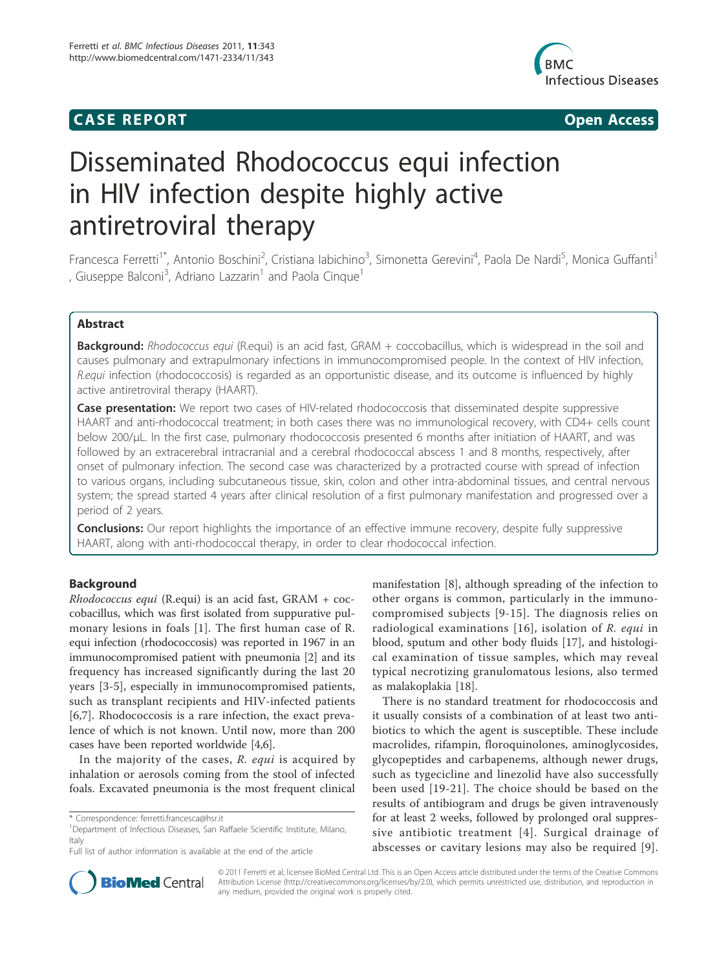## **CASE REPORT CASE REPORT**



# Disseminated Rhodococcus equi infection in HIV infection despite highly active antiretroviral therapy

Francesca Ferretti<sup>1\*</sup>, Antonio Boschini<sup>2</sup>, Cristiana labichino<sup>3</sup>, Simonetta Gerevini<sup>4</sup>, Paola De Nardi<sup>5</sup>, Monica Guffanti<sup>1</sup> , Giuseppe Balconi<sup>3</sup>, Adriano Lazzarin<sup>1</sup> and Paola Cinque<sup>1</sup>

## Abstract

**Background:** Rhodococcus equi (R.equi) is an acid fast, GRAM + coccobacillus, which is widespread in the soil and causes pulmonary and extrapulmonary infections in immunocompromised people. In the context of HIV infection, R.equi infection (rhodococcosis) is regarded as an opportunistic disease, and its outcome is influenced by highly active antiretroviral therapy (HAART).

**Case presentation:** We report two cases of HIV-related rhodococcosis that disseminated despite suppressive HAART and anti-rhodococcal treatment; in both cases there was no immunological recovery, with CD4+ cells count below 200/μL. In the first case, pulmonary rhodococcosis presented 6 months after initiation of HAART, and was followed by an extracerebral intracranial and a cerebral rhodococcal abscess 1 and 8 months, respectively, after onset of pulmonary infection. The second case was characterized by a protracted course with spread of infection to various organs, including subcutaneous tissue, skin, colon and other intra-abdominal tissues, and central nervous system; the spread started 4 years after clinical resolution of a first pulmonary manifestation and progressed over a period of 2 years.

**Conclusions:** Our report highlights the importance of an effective immune recovery, despite fully suppressive HAART, along with anti-rhodococcal therapy, in order to clear rhodococcal infection.

## **Background**

Rhodococcus equi (R.equi) is an acid fast, GRAM + coccobacillus, which was first isolated from suppurative pulmonary lesions in foals [1]. The first human case of R. equi infection (rhodococcosis) was reported in 1967 in an immunocompromised patient with pneumonia [2] and its frequency has increased significantly during the last 20 years [3-5], especially in immunocompromised patients, such as transplant recipients and HIV-infected patients [6,7]. Rhodococcosis is a rare infection, the exact prevalence of which is not known. Until now, more than 200 cases have been reported worldwide [4,6].

In the majority of the cases, R. equi is acquired by inhalation or aerosols coming from the stool of infected foals. Excavated pneumonia is the most frequent clinical

<sup>1</sup>Department of Infectious Diseases, San Raffaele Scientific Institute, Milano, **Italy** 

manifestation [8], although spreading of the infection to other organs is common, particularly in the immunocompromised subjects [9-15]. The diagnosis relies on radiological examinations [16], isolation of R. equi in blood, sputum and other body fluids [17], and histological examination of tissue samples, which may reveal typical necrotizing granulomatous lesions, also termed as malakoplakia [18].

There is no standard treatment for rhodococcosis and it usually consists of a combination of at least two antibiotics to which the agent is susceptible. These include macrolides, rifampin, floroquinolones, aminoglycosides, glycopeptides and carbapenems, although newer drugs, such as tygecicline and linezolid have also successfully been used [19-21]. The choice should be based on the results of antibiogram and drugs be given intravenously for at least 2 weeks, followed by prolonged oral suppressive antibiotic treatment [4]. Surgical drainage of abscesses or cavitary lesions may also be required [9].



© 2011 Ferretti et al; licensee BioMed Central Ltd. This is an Open Access article distributed under the terms of the Creative Commons Attribution License (http://creativecommons.org/licenses/by/2.0), which permits unrestricted use, distribution, and reproduction in any medium, provided the original work is properly cited.

<sup>\*</sup> Correspondence: ferretti.francesca@hsr.it

Full list of author information is available at the end of the article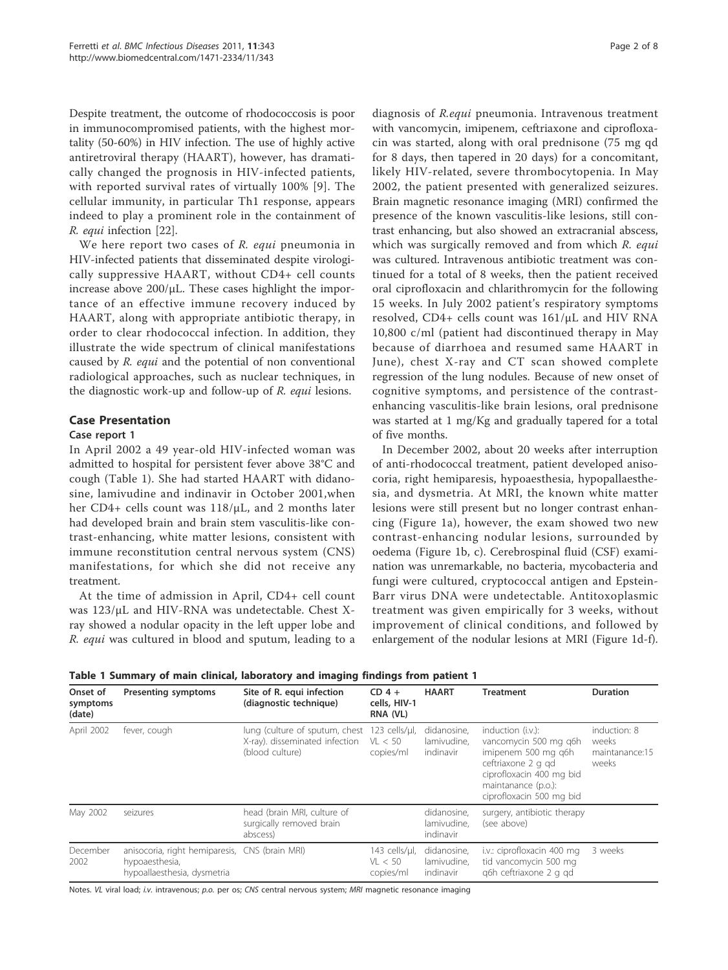Despite treatment, the outcome of rhodococcosis is poor in immunocompromised patients, with the highest mortality (50-60%) in HIV infection. The use of highly active antiretroviral therapy (HAART), however, has dramatically changed the prognosis in HIV-infected patients, with reported survival rates of virtually 100% [9]. The cellular immunity, in particular Th1 response, appears indeed to play a prominent role in the containment of R. equi infection [22].

We here report two cases of R. equi pneumonia in HIV-infected patients that disseminated despite virologically suppressive HAART, without CD4+ cell counts increase above 200/μL. These cases highlight the importance of an effective immune recovery induced by HAART, along with appropriate antibiotic therapy, in order to clear rhodococcal infection. In addition, they illustrate the wide spectrum of clinical manifestations caused by R. equi and the potential of non conventional radiological approaches, such as nuclear techniques, in the diagnostic work-up and follow-up of R. equi lesions.

## Case Presentation

## Case report 1

In April 2002 a 49 year-old HIV-infected woman was admitted to hospital for persistent fever above 38°C and cough (Table 1). She had started HAART with didanosine, lamivudine and indinavir in October 2001,when her CD4+ cells count was 118/μL, and 2 months later had developed brain and brain stem vasculitis-like contrast-enhancing, white matter lesions, consistent with immune reconstitution central nervous system (CNS) manifestations, for which she did not receive any treatment.

At the time of admission in April, CD4+ cell count was 123/μL and HIV-RNA was undetectable. Chest Xray showed a nodular opacity in the left upper lobe and R. equi was cultured in blood and sputum, leading to a diagnosis of R.equi pneumonia. Intravenous treatment with vancomycin, imipenem, ceftriaxone and ciprofloxacin was started, along with oral prednisone (75 mg qd for 8 days, then tapered in 20 days) for a concomitant, likely HIV-related, severe thrombocytopenia. In May 2002, the patient presented with generalized seizures. Brain magnetic resonance imaging (MRI) confirmed the presence of the known vasculitis-like lesions, still contrast enhancing, but also showed an extracranial abscess, which was surgically removed and from which R. equi was cultured. Intravenous antibiotic treatment was continued for a total of 8 weeks, then the patient received oral ciprofloxacin and chlarithromycin for the following 15 weeks. In July 2002 patient's respiratory symptoms resolved, CD4+ cells count was 161/μL and HIV RNA 10,800 c/ml (patient had discontinued therapy in May because of diarrhoea and resumed same HAART in June), chest X-ray and CT scan showed complete regression of the lung nodules. Because of new onset of cognitive symptoms, and persistence of the contrastenhancing vasculitis-like brain lesions, oral prednisone was started at 1 mg/Kg and gradually tapered for a total of five months.

In December 2002, about 20 weeks after interruption of anti-rhodococcal treatment, patient developed anisocoria, right hemiparesis, hypoaesthesia, hypopallaesthesia, and dysmetria. At MRI, the known white matter lesions were still present but no longer contrast enhancing (Figure 1a), however, the exam showed two new contrast-enhancing nodular lesions, surrounded by oedema (Figure 1b, c). Cerebrospinal fluid (CSF) examination was unremarkable, no bacteria, mycobacteria and fungi were cultured, cryptococcal antigen and Epstein-Barr virus DNA were undetectable. Antitoxoplasmic treatment was given empirically for 3 weeks, without improvement of clinical conditions, and followed by enlargement of the nodular lesions at MRI (Figure 1d-f).

|  |  |  |  | Table 1 Summary of main clinical, laboratory and imaging findings from patient 1 |  |  |  |  |  |  |
|--|--|--|--|----------------------------------------------------------------------------------|--|--|--|--|--|--|
|--|--|--|--|----------------------------------------------------------------------------------|--|--|--|--|--|--|

| Onset of<br>symptoms<br>(date) | <b>Presenting symptoms</b>                                                                      | Site of R. equi infection<br>(diagnostic technique)                                 | $CD$ 4 +<br>cells, HIV-1<br>RNA (VL)  | <b>HAART</b>                            | <b>Treatment</b>                                                                                                                                                       | <b>Duration</b>                                  |
|--------------------------------|-------------------------------------------------------------------------------------------------|-------------------------------------------------------------------------------------|---------------------------------------|-----------------------------------------|------------------------------------------------------------------------------------------------------------------------------------------------------------------------|--------------------------------------------------|
| April 2002                     | fever, cough                                                                                    | lung (culture of sputum, chest<br>X-ray). disseminated infection<br>(blood culture) | 123 cells/µl,<br>VL < 50<br>copies/ml | didanosine.<br>lamivudine.<br>indinavir | induction (i.v.):<br>vancomycin 500 mg q6h<br>imipenem 500 mg g6h<br>ceftriaxone 2 g gd<br>ciprofloxacin 400 mg bid<br>maintanance (p.o.):<br>ciprofloxacin 500 mg bid | induction: 8<br>weeks<br>maintanance:15<br>weeks |
| May 2002                       | seizures                                                                                        | head (brain MRI, culture of<br>surgically removed brain<br>abscess)                 |                                       | didanosine.<br>lamivudine,<br>indinavir | surgery, antibiotic therapy<br>(see above)                                                                                                                             |                                                  |
| December<br>2002               | anisocoria, right hemiparesis, CNS (brain MRI)<br>hypoaesthesia,<br>hypoallaesthesia, dysmetria |                                                                                     | 143 cells/µl,<br>VL < 50<br>copies/ml | didanosine,<br>lamivudine.<br>indinavir | i.v.: ciprofloxacin 400 mg<br>tid vancomycin 500 mg<br>g6h ceftriaxone 2 g gd                                                                                          | 3 weeks                                          |

Notes. VL viral load; i.v. intravenous; p.o. per os; CNS central nervous system; MRI magnetic resonance imaging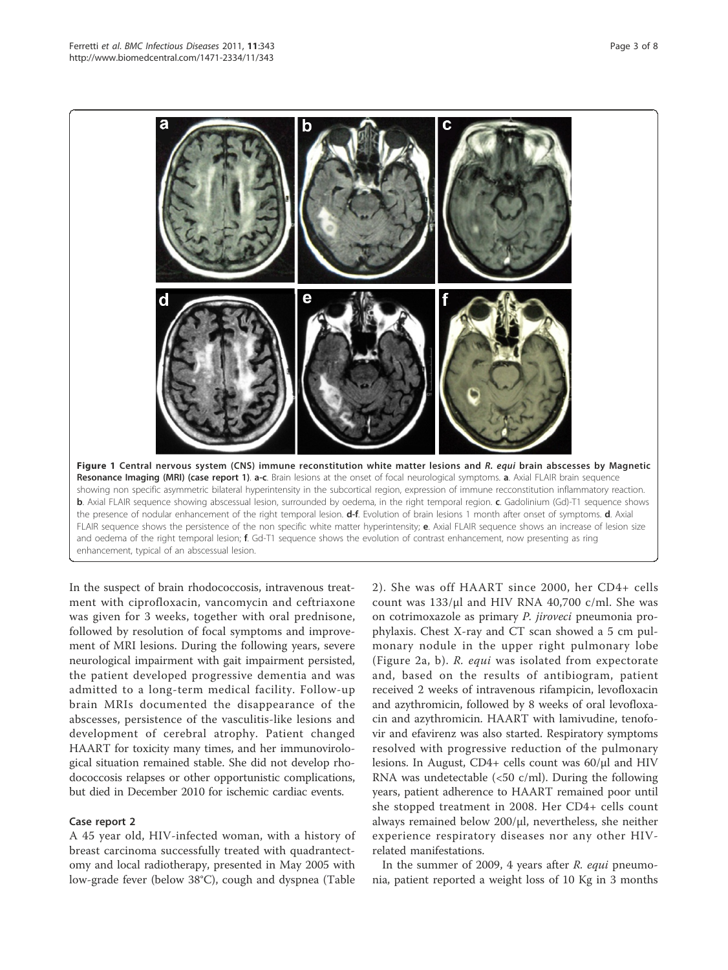Figure 1 Central nervous system (CNS) immune reconstitution white matter lesions and R. equi brain abscesses by Magnetic Resonance Imaging (MRI) (case report 1). a-c. Brain lesions at the onset of focal neurological symptoms. a. Axial FLAIR brain sequence showing non specific asymmetric bilateral hyperintensity in the subcortical region, expression of immune recconstitution inflammatory reaction. b. Axial FLAIR sequence showing abscessual lesion, surrounded by oedema, in the right temporal region. c. Gadolinium (Gd)-T1 sequence shows the presence of nodular enhancement of the right temporal lesion. d-f. Evolution of brain lesions 1 month after onset of symptoms. d. Axial FLAIR sequence shows the persistence of the non specific white matter hyperintensity; e. Axial FLAIR sequence shows an increase of lesion size and oedema of the right temporal lesion; f. Gd-T1 sequence shows the evolution of contrast enhancement, now presenting as ring

enhancement, typical of an abscessual lesion.

In the suspect of brain rhodococcosis, intravenous treatment with ciprofloxacin, vancomycin and ceftriaxone was given for 3 weeks, together with oral prednisone, followed by resolution of focal symptoms and improvement of MRI lesions. During the following years, severe neurological impairment with gait impairment persisted, the patient developed progressive dementia and was admitted to a long-term medical facility. Follow-up brain MRIs documented the disappearance of the abscesses, persistence of the vasculitis-like lesions and development of cerebral atrophy. Patient changed HAART for toxicity many times, and her immunovirological situation remained stable. She did not develop rhodococcosis relapses or other opportunistic complications, but died in December 2010 for ischemic cardiac events.

## Case report 2

A 45 year old, HIV-infected woman, with a history of breast carcinoma successfully treated with quadrantectomy and local radiotherapy, presented in May 2005 with low-grade fever (below 38°C), cough and dyspnea (Table

2). She was off HAART since 2000, her CD4+ cells count was 133/μl and HIV RNA 40,700 c/ml. She was on cotrimoxazole as primary P. jiroveci pneumonia prophylaxis. Chest X-ray and CT scan showed a 5 cm pulmonary nodule in the upper right pulmonary lobe (Figure 2a, b). R. equi was isolated from expectorate and, based on the results of antibiogram, patient received 2 weeks of intravenous rifampicin, levofloxacin and azythromicin, followed by 8 weeks of oral levofloxacin and azythromicin. HAART with lamivudine, tenofovir and efavirenz was also started. Respiratory symptoms resolved with progressive reduction of the pulmonary lesions. In August, CD4+ cells count was 60/μl and HIV RNA was undetectable  $\langle$  <50 c/ml). During the following years, patient adherence to HAART remained poor until she stopped treatment in 2008. Her CD4+ cells count always remained below 200/μl, nevertheless, she neither experience respiratory diseases nor any other HIVrelated manifestations.

In the summer of 2009, 4 years after R. equi pneumonia, patient reported a weight loss of 10 Kg in 3 months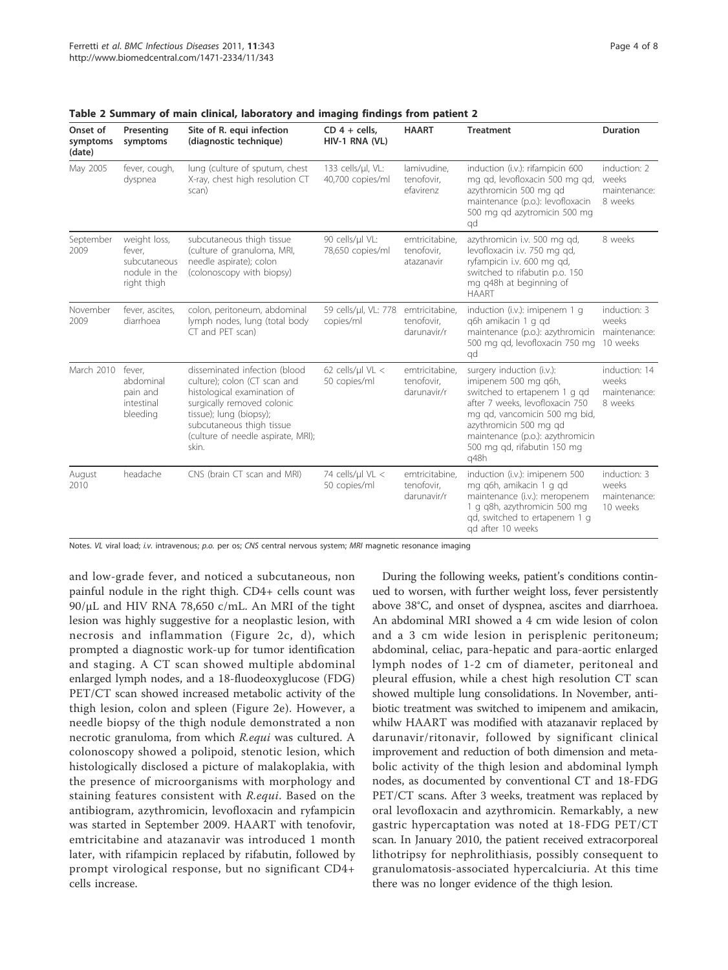| Onset of<br>symptoms<br>(date) | Presenting<br>symptoms                                                 | Site of R. equi infection<br>(diagnostic technique)                                                                                                                                                                               | $CD$ 4 + cells.<br>HIV-1 RNA (VL)     | <b>HAART</b>                                | <b>Treatment</b>                                                                                                                                                                                                                                           | <b>Duration</b>                                   |
|--------------------------------|------------------------------------------------------------------------|-----------------------------------------------------------------------------------------------------------------------------------------------------------------------------------------------------------------------------------|---------------------------------------|---------------------------------------------|------------------------------------------------------------------------------------------------------------------------------------------------------------------------------------------------------------------------------------------------------------|---------------------------------------------------|
| May 2005                       | fever, cough,<br>dyspnea                                               | lung (culture of sputum, chest<br>X-ray, chest high resolution CT<br>scan)                                                                                                                                                        | 133 cells/µl, VL:<br>40,700 copies/ml | lamivudine,<br>tenofovir.<br>efavirenz      | induction (i.v.): rifampicin 600<br>mg gd, levofloxacin 500 mg gd,<br>azythromicin 500 mg gd<br>maintenance (p.o.): levofloxacin<br>500 mg gd azytromicin 500 mg<br>qd                                                                                     | induction: 2<br>weeks<br>maintenance:<br>8 weeks  |
| September<br>2009              | weight loss,<br>fever,<br>subcutaneous<br>nodule in the<br>right thigh | subcutaneous thigh tissue<br>(culture of granuloma, MRI,<br>needle aspirate); colon<br>(colonoscopy with biopsy)                                                                                                                  | 90 cells/ul VL:<br>78,650 copies/ml   | emtricitabine,<br>tenofovir,<br>atazanavir  | azythromicin i.v. 500 mg qd,<br>levofloxacin i.v. 750 mg qd,<br>ryfampicin i.v. 600 mg gd,<br>switched to rifabutin p.o. 150<br>mg q48h at beginning of<br><b>HAART</b>                                                                                    | 8 weeks                                           |
| November<br>2009               | fever, ascites,<br>diarrhoea                                           | colon, peritoneum, abdominal<br>lymph nodes, lung (total body<br>CT and PET scan)                                                                                                                                                 | 59 cells/µl, VL: 778<br>copies/ml     | emtricitabine,<br>tenofovir,<br>darunavir/r | induction (i.v.): imipenem 1 q<br>q6h amikacin 1 g qd<br>maintenance (p.o.): azythromicin<br>500 mg gd, levofloxacin 750 mg<br>qd                                                                                                                          | induction: 3<br>weeks<br>maintenance:<br>10 weeks |
| March 2010                     | fever,<br>abdominal<br>pain and<br>intestinal<br>bleeding              | disseminated infection (blood<br>culture); colon (CT scan and<br>histological examination of<br>surgically removed colonic<br>tissue); lung (biopsy);<br>subcutaneous thigh tissue<br>(culture of needle aspirate, MRI);<br>skin. | 62 cells/ $ul$ VL <<br>50 copies/ml   | emtricitabine,<br>tenofovir.<br>darunavir/r | surgery induction (i.v.):<br>imipenem 500 mg g6h,<br>switched to ertapenem 1 g qd<br>after 7 weeks, levofloxacin 750<br>mg gd, vancomicin 500 mg bid,<br>azythromicin 500 mg gd<br>maintenance (p.o.): azythromicin<br>500 mg gd, rifabutin 150 mg<br>q48h | induction: 14<br>weeks<br>maintenance:<br>8 weeks |
| August<br>2010                 | headache                                                               | CNS (brain CT scan and MRI)                                                                                                                                                                                                       | 74 cells/µl VL <<br>50 copies/ml      | emtricitabine,<br>tenofovir,<br>darunavir/r | induction (i.v.): imipenem 500<br>mg g6h, amikacin 1 g gd<br>maintenance (i.v.): meropenem<br>1 g g8h, azythromicin 500 mg<br>gd, switched to ertapenem 1 g<br>ad after 10 weeks                                                                           | induction: 3<br>weeks<br>maintenance:<br>10 weeks |

Table 2 Summary of main clinical, laboratory and imaging findings from patient 2

Notes. VL viral load; i.v. intravenous; p.o. per os; CNS central nervous system; MRI magnetic resonance imaging

and low-grade fever, and noticed a subcutaneous, non painful nodule in the right thigh. CD4+ cells count was 90/μL and HIV RNA 78,650 c/mL. An MRI of the tight lesion was highly suggestive for a neoplastic lesion, with necrosis and inflammation (Figure 2c, d), which prompted a diagnostic work-up for tumor identification and staging. A CT scan showed multiple abdominal enlarged lymph nodes, and a 18-fluodeoxyglucose (FDG) PET/CT scan showed increased metabolic activity of the thigh lesion, colon and spleen (Figure 2e). However, a needle biopsy of the thigh nodule demonstrated a non necrotic granuloma, from which R.equi was cultured. A colonoscopy showed a polipoid, stenotic lesion, which histologically disclosed a picture of malakoplakia, with the presence of microorganisms with morphology and staining features consistent with R.equi. Based on the antibiogram, azythromicin, levofloxacin and ryfampicin was started in September 2009. HAART with tenofovir, emtricitabine and atazanavir was introduced 1 month later, with rifampicin replaced by rifabutin, followed by prompt virological response, but no significant CD4+ cells increase.

During the following weeks, patient's conditions continued to worsen, with further weight loss, fever persistently above 38°C, and onset of dyspnea, ascites and diarrhoea. An abdominal MRI showed a 4 cm wide lesion of colon and a 3 cm wide lesion in perisplenic peritoneum; abdominal, celiac, para-hepatic and para-aortic enlarged lymph nodes of 1-2 cm of diameter, peritoneal and pleural effusion, while a chest high resolution CT scan showed multiple lung consolidations. In November, antibiotic treatment was switched to imipenem and amikacin, whilw HAART was modified with atazanavir replaced by darunavir/ritonavir, followed by significant clinical improvement and reduction of both dimension and metabolic activity of the thigh lesion and abdominal lymph nodes, as documented by conventional CT and 18-FDG PET/CT scans. After 3 weeks, treatment was replaced by oral levofloxacin and azythromicin. Remarkably, a new gastric hypercaptation was noted at 18-FDG PET/CT scan. In January 2010, the patient received extracorporeal lithotripsy for nephrolithiasis, possibly consequent to granulomatosis-associated hypercalciuria. At this time there was no longer evidence of the thigh lesion.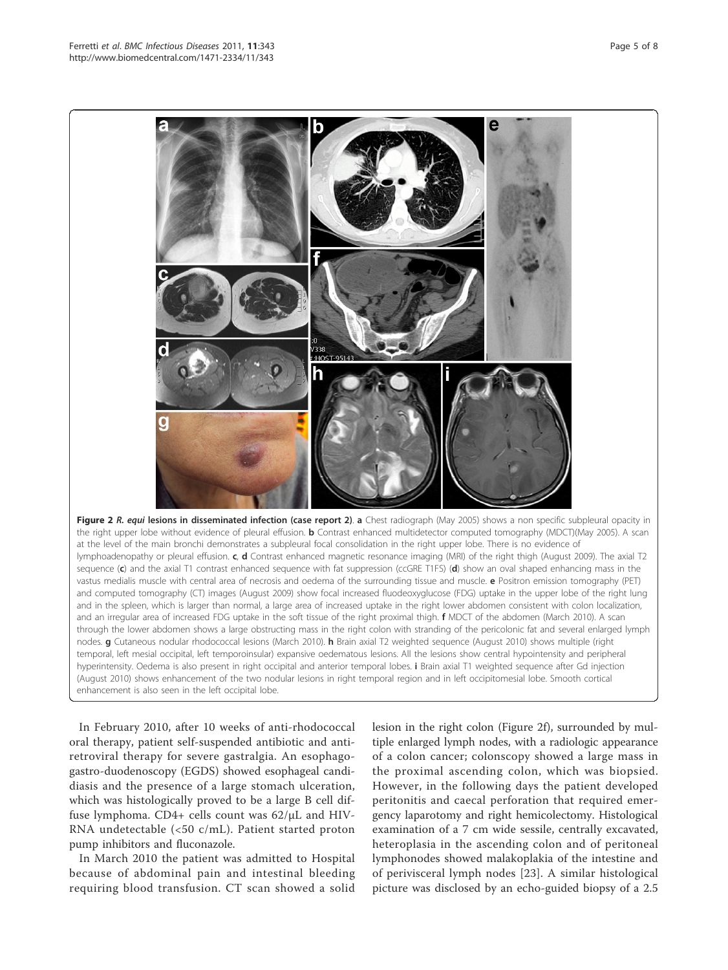

Figure 2 R. equi lesions in disseminated infection (case report 2). a Chest radiograph (May 2005) shows a non specific subpleural opacity in the right upper lobe without evidence of pleural effusion. **b** Contrast enhanced multidetector computed tomography (MDCT)(May 2005). A scan at the level of the main bronchi demonstrates a subpleural focal consolidation in the right upper lobe. There is no evidence of lymphoadenopathy or pleural effusion. c, d Contrast enhanced magnetic resonance imaging (MRI) of the right thigh (August 2009). The axial T2 sequence (c) and the axial T1 contrast enhanced sequence with fat suppression (ccGRE T1FS) (d) show an oval shaped enhancing mass in the vastus medialis muscle with central area of necrosis and oedema of the surrounding tissue and muscle. e Positron emission tomography (PET) and computed tomography (CT) images (August 2009) show focal increased fluodeoxyglucose (FDG) uptake in the upper lobe of the right lung and in the spleen, which is larger than normal, a large area of increased uptake in the right lower abdomen consistent with colon localization, and an irregular area of increased FDG uptake in the soft tissue of the right proximal thigh. **f** MDCT of the abdomen (March 2010). A scan through the lower abdomen shows a large obstructing mass in the right colon with stranding of the pericolonic fat and several enlarged lymph nodes. g Cutaneous nodular rhodococcal lesions (March 2010). h Brain axial T2 weighted sequence (August 2010) shows multiple (right temporal, left mesial occipital, left temporoinsular) expansive oedematous lesions. All the lesions show central hypointensity and peripheral hyperintensity. Oedema is also present in right occipital and anterior temporal lobes. i Brain axial T1 weighted sequence after Gd injection (August 2010) shows enhancement of the two nodular lesions in right temporal region and in left occipitomesial lobe. Smooth cortical enhancement is also seen in the left occipital lobe.

In February 2010, after 10 weeks of anti-rhodococcal oral therapy, patient self-suspended antibiotic and antiretroviral therapy for severe gastralgia. An esophagogastro-duodenoscopy (EGDS) showed esophageal candidiasis and the presence of a large stomach ulceration, which was histologically proved to be a large B cell diffuse lymphoma. CD4+ cells count was 62/μL and HIV-RNA undetectable (<50 c/mL). Patient started proton pump inhibitors and fluconazole.

In March 2010 the patient was admitted to Hospital because of abdominal pain and intestinal bleeding requiring blood transfusion. CT scan showed a solid lesion in the right colon (Figure 2f), surrounded by multiple enlarged lymph nodes, with a radiologic appearance of a colon cancer; colonscopy showed a large mass in the proximal ascending colon, which was biopsied. However, in the following days the patient developed peritonitis and caecal perforation that required emergency laparotomy and right hemicolectomy. Histological examination of a 7 cm wide sessile, centrally excavated, heteroplasia in the ascending colon and of peritoneal lymphonodes showed malakoplakia of the intestine and of perivisceral lymph nodes [23]. A similar histological picture was disclosed by an echo-guided biopsy of a 2.5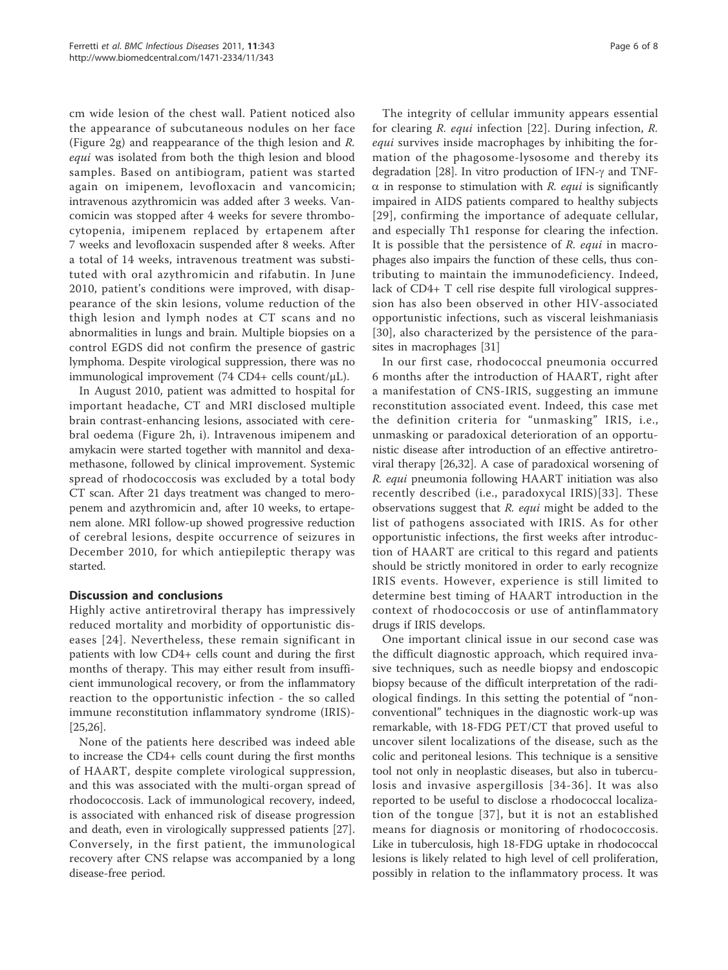cm wide lesion of the chest wall. Patient noticed also the appearance of subcutaneous nodules on her face (Figure 2g) and reappearance of the thigh lesion and R. equi was isolated from both the thigh lesion and blood samples. Based on antibiogram, patient was started again on imipenem, levofloxacin and vancomicin; intravenous azythromicin was added after 3 weeks. Vancomicin was stopped after 4 weeks for severe thrombocytopenia, imipenem replaced by ertapenem after 7 weeks and levofloxacin suspended after 8 weeks. After a total of 14 weeks, intravenous treatment was substituted with oral azythromicin and rifabutin. In June 2010, patient's conditions were improved, with disappearance of the skin lesions, volume reduction of the thigh lesion and lymph nodes at CT scans and no abnormalities in lungs and brain. Multiple biopsies on a control EGDS did not confirm the presence of gastric lymphoma. Despite virological suppression, there was no immunological improvement (74 CD4+ cells count/μL).

In August 2010, patient was admitted to hospital for important headache, CT and MRI disclosed multiple brain contrast-enhancing lesions, associated with cerebral oedema (Figure 2h, i). Intravenous imipenem and amykacin were started together with mannitol and dexamethasone, followed by clinical improvement. Systemic spread of rhodococcosis was excluded by a total body CT scan. After 21 days treatment was changed to meropenem and azythromicin and, after 10 weeks, to ertapenem alone. MRI follow-up showed progressive reduction of cerebral lesions, despite occurrence of seizures in December 2010, for which antiepileptic therapy was started.

## Discussion and conclusions

Highly active antiretroviral therapy has impressively reduced mortality and morbidity of opportunistic diseases [24]. Nevertheless, these remain significant in patients with low CD4+ cells count and during the first months of therapy. This may either result from insufficient immunological recovery, or from the inflammatory reaction to the opportunistic infection - the so called immune reconstitution inflammatory syndrome (IRIS)- [25,26].

None of the patients here described was indeed able to increase the CD4+ cells count during the first months of HAART, despite complete virological suppression, and this was associated with the multi-organ spread of rhodococcosis. Lack of immunological recovery, indeed, is associated with enhanced risk of disease progression and death, even in virologically suppressed patients [27]. Conversely, in the first patient, the immunological recovery after CNS relapse was accompanied by a long disease-free period.

The integrity of cellular immunity appears essential for clearing R. equi infection [22]. During infection, R. equi survives inside macrophages by inhibiting the formation of the phagosome-lysosome and thereby its degradation [28]. In vitro production of IFN- $\gamma$  and TNF- $\alpha$  in response to stimulation with R. equi is significantly impaired in AIDS patients compared to healthy subjects [29], confirming the importance of adequate cellular, and especially Th1 response for clearing the infection. It is possible that the persistence of R. equi in macrophages also impairs the function of these cells, thus contributing to maintain the immunodeficiency. Indeed, lack of CD4+ T cell rise despite full virological suppression has also been observed in other HIV-associated opportunistic infections, such as visceral leishmaniasis [30], also characterized by the persistence of the parasites in macrophages [31]

In our first case, rhodococcal pneumonia occurred 6 months after the introduction of HAART, right after a manifestation of CNS-IRIS, suggesting an immune reconstitution associated event. Indeed, this case met the definition criteria for "unmasking" IRIS, i.e., unmasking or paradoxical deterioration of an opportunistic disease after introduction of an effective antiretroviral therapy [26,32]. A case of paradoxical worsening of R. equi pneumonia following HAART initiation was also recently described (i.e., paradoxycal IRIS)[33]. These observations suggest that  $R$ . equi might be added to the list of pathogens associated with IRIS. As for other opportunistic infections, the first weeks after introduction of HAART are critical to this regard and patients should be strictly monitored in order to early recognize IRIS events. However, experience is still limited to determine best timing of HAART introduction in the context of rhodococcosis or use of antinflammatory drugs if IRIS develops.

One important clinical issue in our second case was the difficult diagnostic approach, which required invasive techniques, such as needle biopsy and endoscopic biopsy because of the difficult interpretation of the radiological findings. In this setting the potential of "nonconventional" techniques in the diagnostic work-up was remarkable, with 18-FDG PET/CT that proved useful to uncover silent localizations of the disease, such as the colic and peritoneal lesions. This technique is a sensitive tool not only in neoplastic diseases, but also in tuberculosis and invasive aspergillosis [34-36]. It was also reported to be useful to disclose a rhodococcal localization of the tongue [37], but it is not an established means for diagnosis or monitoring of rhodococcosis. Like in tuberculosis, high 18-FDG uptake in rhodococcal lesions is likely related to high level of cell proliferation, possibly in relation to the inflammatory process. It was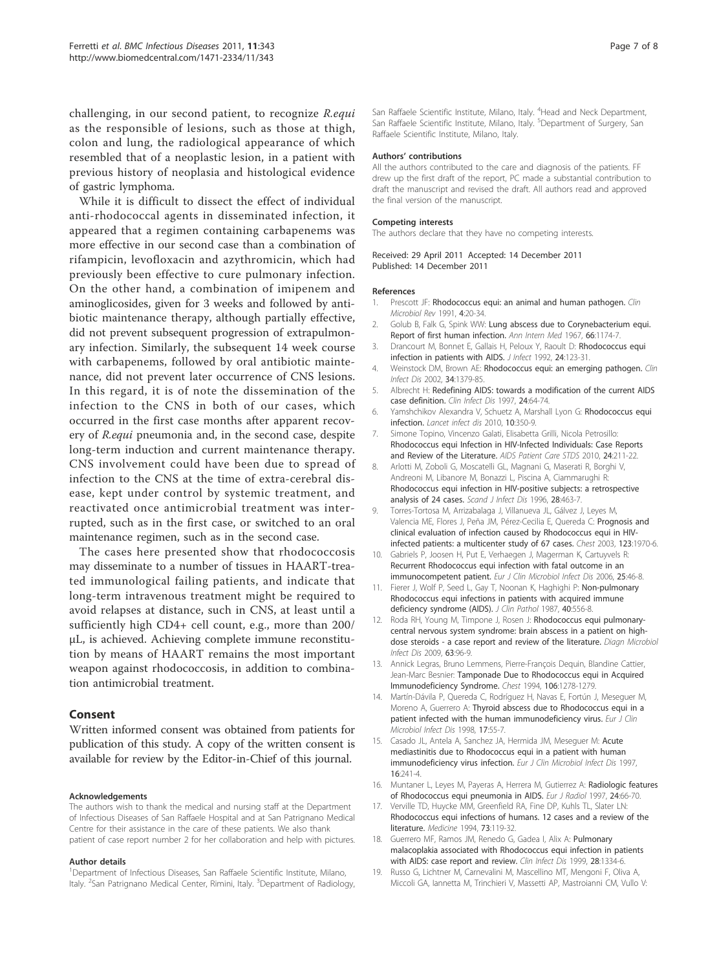challenging, in our second patient, to recognize R.equi as the responsible of lesions, such as those at thigh, colon and lung, the radiological appearance of which resembled that of a neoplastic lesion, in a patient with previous history of neoplasia and histological evidence of gastric lymphoma.

While it is difficult to dissect the effect of individual anti-rhodococcal agents in disseminated infection, it appeared that a regimen containing carbapenems was more effective in our second case than a combination of rifampicin, levofloxacin and azythromicin, which had previously been effective to cure pulmonary infection. On the other hand, a combination of imipenem and aminoglicosides, given for 3 weeks and followed by antibiotic maintenance therapy, although partially effective, did not prevent subsequent progression of extrapulmonary infection. Similarly, the subsequent 14 week course with carbapenems, followed by oral antibiotic maintenance, did not prevent later occurrence of CNS lesions. In this regard, it is of note the dissemination of the infection to the CNS in both of our cases, which occurred in the first case months after apparent recovery of R.equi pneumonia and, in the second case, despite long-term induction and current maintenance therapy. CNS involvement could have been due to spread of infection to the CNS at the time of extra-cerebral disease, kept under control by systemic treatment, and reactivated once antimicrobial treatment was interrupted, such as in the first case, or switched to an oral maintenance regimen, such as in the second case.

The cases here presented show that rhodococcosis may disseminate to a number of tissues in HAART-treated immunological failing patients, and indicate that long-term intravenous treatment might be required to avoid relapses at distance, such in CNS, at least until a sufficiently high CD4+ cell count, e.g., more than 200/ μL, is achieved. Achieving complete immune reconstitution by means of HAART remains the most important weapon against rhodococcosis, in addition to combination antimicrobial treatment.

## Consent

Written informed consent was obtained from patients for publication of this study. A copy of the written consent is available for review by the Editor-in-Chief of this journal.

#### Acknowledgements

The authors wish to thank the medical and nursing staff at the Department of Infectious Diseases of San Raffaele Hospital and at San Patrignano Medical Centre for their assistance in the care of these patients. We also thank patient of case report number 2 for her collaboration and help with pictures.

#### Author details

<sup>1</sup>Department of Infectious Diseases, San Raffaele Scientific Institute, Milano, Italy. <sup>2</sup>San Patrignano Medical Center, Rimini, Italy. <sup>3</sup>Department of Radiology,

San Raffaele Scientific Institute, Milano, Italy. <sup>4</sup>Head and Neck Department San Raffaele Scientific Institute, Milano, Italy. <sup>5</sup>Department of Surgery, San Raffaele Scientific Institute, Milano, Italy.

#### Authors' contributions

All the authors contributed to the care and diagnosis of the patients. FF drew up the first draft of the report, PC made a substantial contribution to draft the manuscript and revised the draft. All authors read and approved the final version of the manuscript.

#### Competing interests

The authors declare that they have no competing interests.

#### Received: 29 April 2011 Accepted: 14 December 2011 Published: 14 December 2011

#### References

- 1. Prescott JF: Rhodococcus equi: an animal and human pathogen. Clin Microbiol Rev 1991, 4:20-34.
- 2. Golub B, Falk G, Spink WW: Lung abscess due to Corynebacterium equi. Report of first human infection. Ann Intern Med 1967, 66:1174-7.
- 3. Drancourt M, Bonnet E, Gallais H, Peloux Y, Raoult D: Rhodococcus equi infection in patients with AIDS. J Infect 1992, 24:123-31.
- 4. Weinstock DM, Brown AE: Rhodococcus equi: an emerging pathogen. Clin Infect Dis 2002, 34:1379-85.
- 5. Albrecht H: Redefining AIDS: towards a modification of the current AIDS case definition. Clin Infect Dis 1997, 24:64-74.
- 6. Yamshchikov Alexandra V, Schuetz A, Marshall Lyon G: Rhodococcus equi infection. Lancet infect dis 2010, 10:350-9.
- 7. Simone Topino, Vincenzo Galati, Elisabetta Grilli, Nicola Petrosillo: Rhodococcus equi Infection in HIV-Infected Individuals: Case Reports and Review of the Literature. AIDS Patient Care STDS 2010, 24:211-22.
- 8. Arlotti M, Zoboli G, Moscatelli GL, Magnani G, Maserati R, Borghi V, Andreoni M, Libanore M, Bonazzi L, Piscina A, Ciammarughi R: Rhodococcus equi infection in HIV-positive subjects: a retrospective analysis of 24 cases. Scand J Infect Dis 1996, 28:463-7.
- Torres-Tortosa M, Arrizabalaga J, Villanueva JL, Gálvez J, Leyes M, Valencia ME, Flores J, Peña JM, Pérez-Cecilia E, Quereda C: Prognosis and clinical evaluation of infection caused by Rhodococcus equi in HIVinfected patients: a multicenter study of 67 cases. Chest 2003, 123:1970-6.
- 10. Gabriels P, Joosen H, Put E, Verhaegen J, Magerman K, Cartuyvels R: Recurrent Rhodococcus equi infection with fatal outcome in an immunocompetent patient. Eur J Clin Microbiol Infect Dis 2006, 25:46-8.
- 11. Fierer J, Wolf P, Seed L, Gay T, Noonan K, Haghighi P: Non-pulmonary Rhodococcus equi infections in patients with acquired immune deficiency syndrome (AIDS). J Clin Pathol 1987, 40:556-8.
- 12. Roda RH, Young M, Timpone J, Rosen J: Rhodococcus equi pulmonarycentral nervous system syndrome: brain abscess in a patient on highdose steroids - a case report and review of the literature. Diagn Microbiol Infect Dis 2009, 63:96-9.
- 13. Annick Legras, Bruno Lemmens, Pierre-François Dequin, Blandine Cattier, Jean-Marc Besnier: Tamponade Due to Rhodococcus equi in Acquired Immunodeficiency Syndrome. Chest 1994, 106:1278-1279.
- 14. Martín-Dávila P, Quereda C, Rodríguez H, Navas E, Fortún J, Meseguer M, Moreno A, Guerrero A: Thyroid abscess due to Rhodococcus equi in a patient infected with the human immunodeficiency virus. Fur J Clin Microbiol Infect Dis 1998, 17:55-7.
- 15. Casado JL, Antela A, Sanchez JA, Hermida JM, Meseguer M: Acute mediastinitis due to Rhodococcus equi in a patient with human immunodeficiency virus infection. Eur J Clin Microbiol Infect Dis 1997, 16:241-4.
- 16. Muntaner L, Leyes M, Payeras A, Herrera M, Gutierrez A: Radiologic features of Rhodococcus equi pneumonia in AIDS. Eur J Radiol 1997, 24:66-70.
- 17. Verville TD, Huycke MM, Greenfield RA, Fine DP, Kuhls TL, Slater LN: Rhodococcus equi infections of humans. 12 cases and a review of the literature. Medicine 1994, 73:119-32.
- 18. Guerrero MF, Ramos JM, Renedo G, Gadea I, Alix A: Pulmonary malacoplakia associated with Rhodococcus equi infection in patients with AIDS: case report and review. Clin Infect Dis 1999, 28:1334-6.
- 19. Russo G, Lichtner M, Carnevalini M, Mascellino MT, Mengoni F, Oliva A, Miccoli GA, Iannetta M, Trinchieri V, Massetti AP, Mastroianni CM, Vullo V: